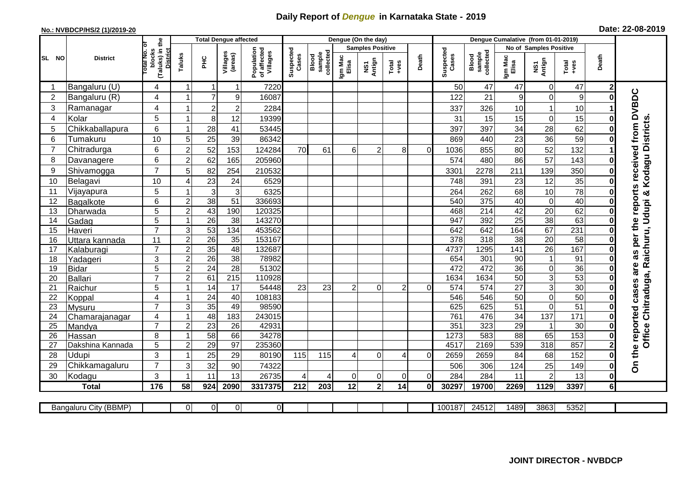## **Daily Report of** *Dengue* **in Karnataka State - 2019**

## **No.: NVBDCP/HS/2 (1)/2019-20 Date: 22-08-2019**

|                |                            |                                                              |                |                       | <b>Total Dengue affected</b> |                                       |                    |                              |                  | Dengue (On the day)     |                  |                |                    |                              |                               |                 |                        |                |                                                       |
|----------------|----------------------------|--------------------------------------------------------------|----------------|-----------------------|------------------------------|---------------------------------------|--------------------|------------------------------|------------------|-------------------------|------------------|----------------|--------------------|------------------------------|-------------------------------|-----------------|------------------------|----------------|-------------------------------------------------------|
|                |                            |                                                              |                |                       |                              |                                       |                    |                              |                  | <b>Samples Positive</b> |                  |                |                    |                              | <b>No of Samples Positive</b> |                 |                        |                |                                                       |
| SL NO          | <b>District</b>            | (Taluks) in the<br>Total No. of<br>blocks<br><b>District</b> | Taluks         | PНC                   | Villages<br>(areas)          | Population<br>of affected<br>Villages | Suspected<br>Cases | sample<br>collected<br>Blood | Igm Mac<br>Elisa | NS1<br>Antign           | $Tota$<br>$+ves$ | Death          | Suspected<br>Cases | collected<br>sample<br>Blood | Igm Mac<br>Elisa              | NS1<br>Antign   | Total<br>+ves          | Death          |                                                       |
| -1             | Bangaluru (U)              | 4                                                            | -1             | -1                    | 1                            | 7220                                  |                    |                              |                  |                         |                  |                | 50                 | 47                           | 47                            | $\mathbf 0$     | 47                     | $\mathbf{2}$   |                                                       |
| 2              | Bangaluru (R)              | 4                                                            |                | $\overline{7}$        | 9                            | 16087                                 |                    |                              |                  |                         |                  |                | 122                | 21                           | 9                             | $\Omega$        | $\boldsymbol{9}$       | ŋ              | per the reports received from DVBDC                   |
| 3              | Ramanagar                  | 4                                                            |                | $\overline{2}$        | $\overline{c}$               | 2284                                  |                    |                              |                  |                         |                  |                | 337                | 326                          | 10                            |                 | 10                     |                |                                                       |
| 4              | Kolar                      | 5                                                            | -1             | 8                     | 12                           | 19399                                 |                    |                              |                  |                         |                  |                | 31                 | 15                           | 15                            | $\mathbf 0$     | 15                     |                |                                                       |
| 5              | Chikkaballapura            | 6                                                            |                | 28                    | 41                           | 53445                                 |                    |                              |                  |                         |                  |                | 397                | 397                          | 34                            | 28              | 62                     |                |                                                       |
| 6              | Tumakuru                   | 10                                                           | 5              | 25                    | 39                           | 86342                                 |                    |                              |                  |                         |                  |                | 869                | 440                          | 23                            | 36              | 59                     |                | Office Chitraduga, Raichuru, Udupi & Kodagu Districts |
| $\overline{7}$ | Chitradurga                | 6                                                            | $\overline{2}$ | 52                    | 153                          | 124284                                | 70                 | 61                           | 6                | $\mathcal{P}$           | 8                | $\Omega$       | 1036               | 855                          | 80                            | 52              | 132                    |                |                                                       |
| 8              | Davanagere                 | 6                                                            | $\overline{2}$ | 62                    | 165                          | 205960                                |                    |                              |                  |                         |                  |                | 574                | 480                          | 86                            | 57              | 143                    |                |                                                       |
| 9              | Shivamogga                 | $\overline{7}$                                               | 5              | 82                    | 254                          | 210532                                |                    |                              |                  |                         |                  |                | 3301               | 2278                         | 211                           | 139             | 350                    |                |                                                       |
| 10             | Belagavi                   | 10                                                           | 4              | 23                    | 24                           | 6529                                  |                    |                              |                  |                         |                  |                | 748                | 391                          | 23                            | 12              | 35                     |                |                                                       |
| 11             | Vijayapura                 | 5                                                            |                | 3                     | 3                            | 6325                                  |                    |                              |                  |                         |                  |                | 264                | 262                          | 68                            | 10              | 78                     |                |                                                       |
| 12             | Bagalkote                  | 6                                                            | $\overline{c}$ | $\overline{38}$       | 51                           | 336693                                |                    |                              |                  |                         |                  |                | 540                | 375                          | 40                            | $\mathbf 0$     | 40                     | 0              |                                                       |
| 13             | Dharwada                   | $\overline{5}$                                               | $\overline{2}$ | 43                    | 190                          | 120325                                |                    |                              |                  |                         |                  |                | 468                | 214                          | 42                            | 20              | 62                     |                |                                                       |
| 14             | Gadag                      | 5                                                            |                | 26                    | 38                           | 143270                                |                    |                              |                  |                         |                  |                | 947                | 392                          | $\overline{25}$               | $\overline{38}$ | 63                     |                |                                                       |
| 15             | Haveri                     | $\overline{7}$                                               | 3              | 53                    | 134                          | 453562                                |                    |                              |                  |                         |                  |                | 642                | 642                          | 164                           | 67              | 231                    |                |                                                       |
| 16             | Uttara kannada             | 11                                                           | $\overline{2}$ | 26                    | 35                           | 153167                                |                    |                              |                  |                         |                  |                | 378                | 318                          | 38                            | $\overline{20}$ | $\overline{58}$        | O              |                                                       |
| 17             | Kalaburagi                 | $\overline{7}$                                               | $\overline{2}$ | 35                    | 48                           | 132687                                |                    |                              |                  |                         |                  |                | 4737               | 1295                         | $\overline{141}$              | $\overline{26}$ | 167                    |                | 3g                                                    |
| 18             | Yadageri                   | 3                                                            | $\overline{2}$ | 26                    | $\overline{38}$              | 78982                                 |                    |                              |                  |                         |                  |                | 654                | 301                          | 90                            |                 | 91                     |                |                                                       |
| 19             | <b>Bidar</b>               | 5                                                            | $\overline{2}$ | 24                    | 28                           | 51302                                 |                    |                              |                  |                         |                  |                | 472                | 472                          | 36                            | $\pmb{0}$       | 36                     |                | are                                                   |
| 20             | <b>Ballari</b>             | $\overline{7}$                                               | $\overline{2}$ | 61                    | $\overline{215}$             | 110928                                |                    |                              |                  |                         |                  |                | 1634               | 1634                         | 50                            | $\overline{3}$  | 53                     |                |                                                       |
| 21             | Raichur                    | $\overline{5}$                                               |                | $\overline{14}$       | $\overline{17}$              | 54448                                 | 23                 | $\overline{23}$              | $\overline{2}$   | $\Omega$                | 2                | $\overline{0}$ | $\overline{574}$   | 574                          | 27                            | $\overline{3}$  | 30                     | $\bf{0}$       |                                                       |
| 22             | Koppal                     | 4                                                            |                | 24                    | 40                           | 108183                                |                    |                              |                  |                         |                  |                | 546                | 546                          | 50                            | $\mathbf 0$     | 50                     |                |                                                       |
| 23             | Mysuru                     | $\overline{7}$                                               | 3              | 35                    | 49                           | 98590                                 |                    |                              |                  |                         |                  |                | 625                | 625                          | 51                            | $\mathbf 0$     | 51                     |                |                                                       |
| 24             | Chamarajanagar             | 4<br>$\overline{7}$                                          | -1             | 48                    | 183                          | 243015                                |                    |                              |                  |                         |                  |                | 761                | 476                          | $\overline{34}$               | 137             | 171                    |                |                                                       |
| 25<br>26       | Mandya                     | 8                                                            | $\overline{2}$ | $\overline{23}$<br>58 | 26<br>66                     | 42931<br>34278                        |                    |                              |                  |                         |                  |                | 351<br>1273        | 323<br>583                   | 29<br>88                      | -1<br>65        | $\overline{30}$<br>153 |                |                                                       |
| 27             | Hassan<br>Dakshina Kannada | 5                                                            | $\overline{2}$ | $\overline{29}$       | $\overline{97}$              | 235360                                |                    |                              |                  |                         |                  |                | 4517               | 2169                         | 539                           | 318             | 857                    |                |                                                       |
| 28             | Udupi                      | 3                                                            |                | 25                    | 29                           | 80190                                 | 115                | 115                          |                  | $\Omega$                | 4                | $\Omega$       | 2659               | 2659                         | 84                            | 68              | 152                    |                | the reported cases                                    |
| 29             | Chikkamagaluru             | $\overline{7}$                                               | 3              | 32                    | 90                           | 74322                                 |                    |                              |                  |                         |                  |                | 506                | 306                          | 124                           | 25              | 149                    |                | င်္                                                   |
| 30             | Kodagu                     | 3                                                            |                | 11                    | 13                           | 26735                                 | 4                  | 4                            | $\Omega$         | 0                       | 0                | $\overline{0}$ | 284                | 284                          | 11                            | $\overline{2}$  | 13                     | 0              |                                                       |
|                | <b>Total</b>               | 176                                                          | 58             | 924                   | 2090                         | 3317375                               | 212                | 203                          | 12               | $\overline{\mathbf{2}}$ | 14               | Οl             | 30297              | 19700                        | 2269                          | 1129            | 3397                   | 6 <sup>1</sup> |                                                       |
|                |                            |                                                              |                |                       |                              |                                       |                    |                              |                  |                         |                  |                |                    |                              |                               |                 |                        |                |                                                       |
|                | Bangaluru City (BBMP)      |                                                              | $\Omega$       | $\Omega$              | $\mathbf 0$                  | $\overline{0}$                        |                    |                              |                  |                         |                  |                | 100187             | 24512                        | 1489                          | 3863            | 5352                   |                |                                                       |